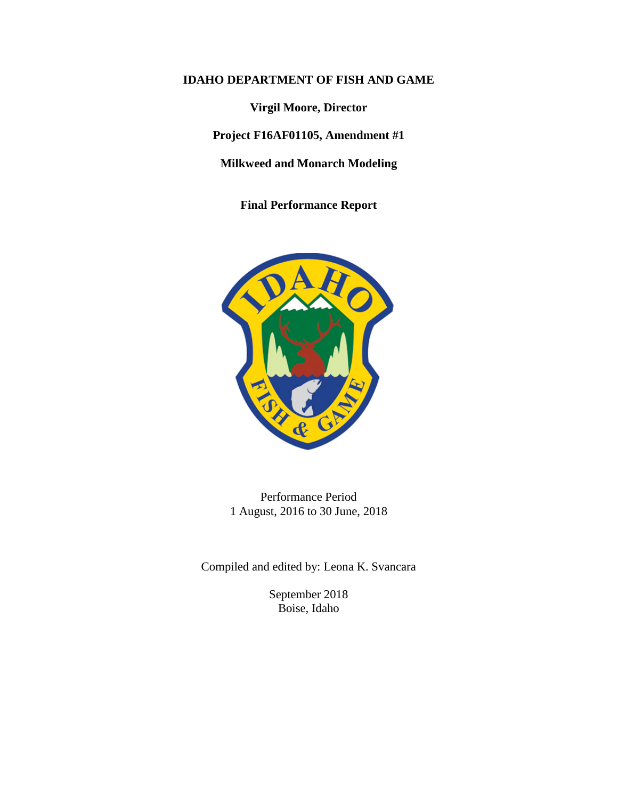## **IDAHO DEPARTMENT OF FISH AND GAME**

**Virgil Moore, Director**

**Project F16AF01105, Amendment #1**

**Milkweed and Monarch Modeling**

**Final Performance Report**



Performance Period 1 August, 2016 to 30 June, 2018

Compiled and edited by: Leona K. Svancara

September 2018 Boise, Idaho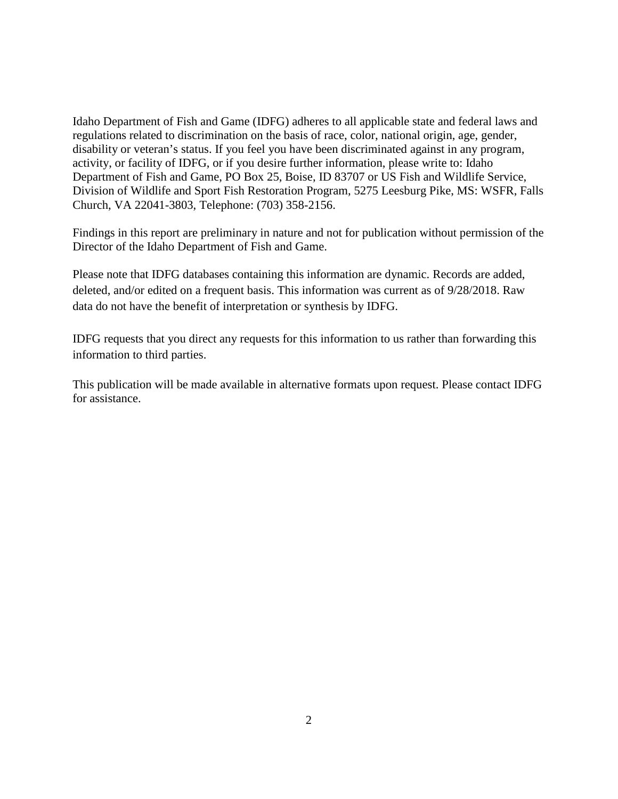Idaho Department of Fish and Game (IDFG) adheres to all applicable state and federal laws and regulations related to discrimination on the basis of race, color, national origin, age, gender, disability or veteran's status. If you feel you have been discriminated against in any program, activity, or facility of IDFG, or if you desire further information, please write to: Idaho Department of Fish and Game, PO Box 25, Boise, ID 83707 or US Fish and Wildlife Service, Division of Wildlife and Sport Fish Restoration Program, 5275 Leesburg Pike, MS: WSFR, Falls Church, VA 22041-3803, Telephone: (703) 358-2156.

Findings in this report are preliminary in nature and not for publication without permission of the Director of the Idaho Department of Fish and Game.

Please note that IDFG databases containing this information are dynamic. Records are added, deleted, and/or edited on a frequent basis. This information was current as of 9/28/2018. Raw data do not have the benefit of interpretation or synthesis by IDFG.

IDFG requests that you direct any requests for this information to us rather than forwarding this information to third parties.

This publication will be made available in alternative formats upon request. Please contact IDFG for assistance.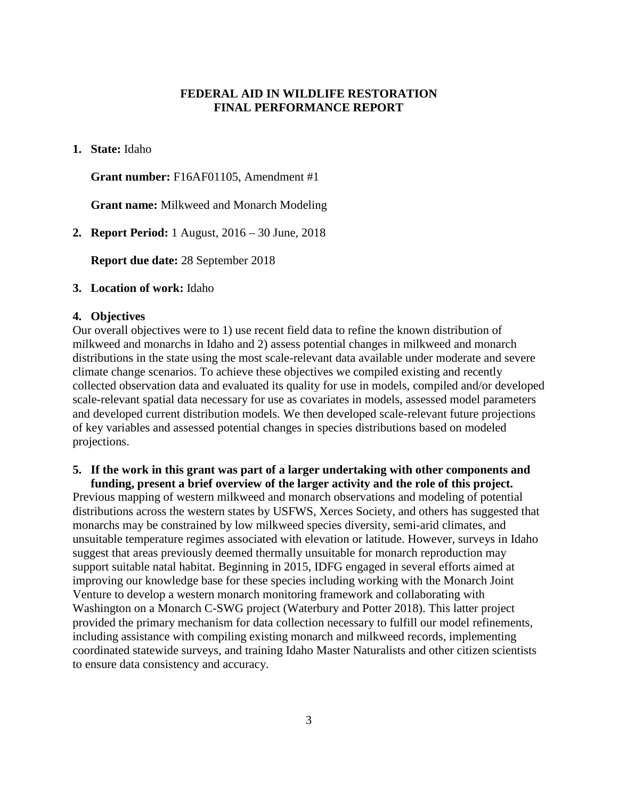## **FEDERAL AID IN WILDLIFE RESTORATION FINAL PERFORMANCE REPORT**

**1. State:** Idaho

**Grant number:** F16AF01105, Amendment #1

**Grant name:** Milkweed and Monarch Modeling

**2. Report Period:** 1 August, 2016 – 30 June, 2018

**Report due date:** 28 September 2018

### **3. Location of work:** Idaho

### **4. Objectives**

Our overall objectives were to 1) use recent field data to refine the known distribution of milkweed and monarchs in Idaho and 2) assess potential changes in milkweed and monarch distributions in the state using the most scale-relevant data available under moderate and severe climate change scenarios. To achieve these objectives we compiled existing and recently collected observation data and evaluated its quality for use in models, compiled and/or developed scale-relevant spatial data necessary for use as covariates in models, assessed model parameters and developed current distribution models. We then developed scale-relevant future projections of key variables and assessed potential changes in species distributions based on modeled projections.

### **5. If the work in this grant was part of a larger undertaking with other components and funding, present a brief overview of the larger activity and the role of this project.**

Previous mapping of western milkweed and monarch observations and modeling of potential distributions across the western states by USFWS, Xerces Society, and others has suggested that monarchs may be constrained by low milkweed species diversity, semi-arid climates, and unsuitable temperature regimes associated with elevation or latitude. However, surveys in Idaho suggest that areas previously deemed thermally unsuitable for monarch reproduction may support suitable natal habitat. Beginning in 2015, IDFG engaged in several efforts aimed at improving our knowledge base for these species including working with the Monarch Joint Venture to develop a western monarch monitoring framework and collaborating with Washington on a Monarch C-SWG project (Waterbury and Potter 2018). This latter project provided the primary mechanism for data collection necessary to fulfill our model refinements, including assistance with compiling existing monarch and milkweed records, implementing coordinated statewide surveys, and training Idaho Master Naturalists and other citizen scientists to ensure data consistency and accuracy.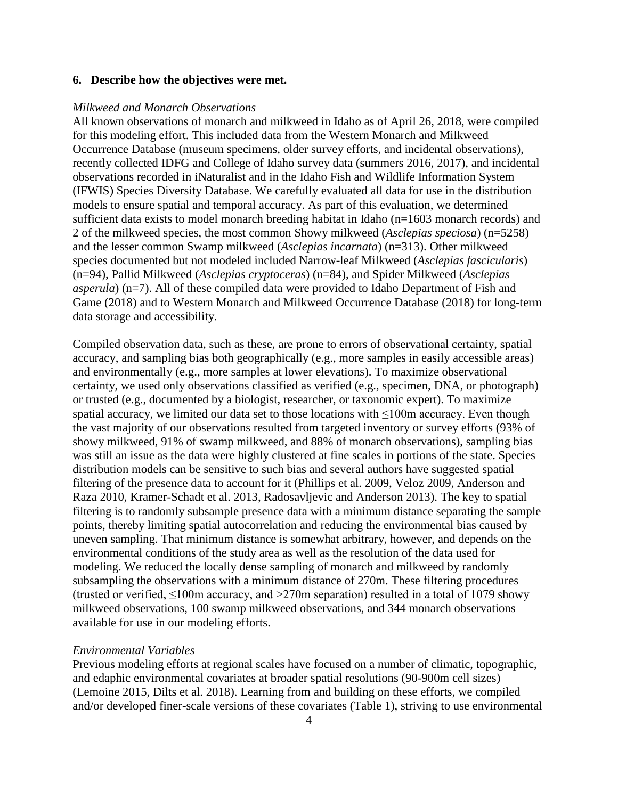### **6. Describe how the objectives were met.**

### *Milkweed and Monarch Observations*

All known observations of monarch and milkweed in Idaho as of April 26, 2018, were compiled for this modeling effort. This included data from the Western Monarch and Milkweed Occurrence Database (museum specimens, older survey efforts, and incidental observations), recently collected IDFG and College of Idaho survey data (summers 2016, 2017), and incidental observations recorded in iNaturalist and in the Idaho Fish and Wildlife Information System (IFWIS) Species Diversity Database. We carefully evaluated all data for use in the distribution models to ensure spatial and temporal accuracy. As part of this evaluation, we determined sufficient data exists to model monarch breeding habitat in Idaho (n=1603 monarch records) and 2 of the milkweed species, the most common Showy milkweed (*Asclepias speciosa*) (n=5258) and the lesser common Swamp milkweed (*Asclepias incarnata*) (n=313). Other milkweed species documented but not modeled included Narrow-leaf Milkweed (*Asclepias fascicularis*) (n=94), Pallid Milkweed (*Asclepias cryptoceras*) (n=84), and Spider Milkweed (*Asclepias asperula*) (n=7). All of these compiled data were provided to Idaho Department of Fish and Game (2018) and to Western Monarch and Milkweed Occurrence Database (2018) for long-term data storage and accessibility.

Compiled observation data, such as these, are prone to errors of observational certainty, spatial accuracy, and sampling bias both geographically (e.g., more samples in easily accessible areas) and environmentally (e.g., more samples at lower elevations). To maximize observational certainty, we used only observations classified as verified (e.g., specimen, DNA, or photograph) or trusted (e.g., documented by a biologist, researcher, or taxonomic expert). To maximize spatial accuracy, we limited our data set to those locations with  $\leq 100$ m accuracy. Even though the vast majority of our observations resulted from targeted inventory or survey efforts (93% of showy milkweed, 91% of swamp milkweed, and 88% of monarch observations), sampling bias was still an issue as the data were highly clustered at fine scales in portions of the state. Species distribution models can be sensitive to such bias and several authors have suggested spatial filtering of the presence data to account for it (Phillips et al. 2009, Veloz 2009, Anderson and Raza 2010, Kramer-Schadt et al. 2013, Radosavljevic and Anderson 2013). The key to spatial filtering is to randomly subsample presence data with a minimum distance separating the sample points, thereby limiting spatial autocorrelation and reducing the environmental bias caused by uneven sampling. That minimum distance is somewhat arbitrary, however, and depends on the environmental conditions of the study area as well as the resolution of the data used for modeling. We reduced the locally dense sampling of monarch and milkweed by randomly subsampling the observations with a minimum distance of 270m. These filtering procedures (trusted or verified,  $\leq 100$ m accuracy, and  $\geq 270$ m separation) resulted in a total of 1079 showy milkweed observations, 100 swamp milkweed observations, and 344 monarch observations available for use in our modeling efforts.

### *Environmental Variables*

Previous modeling efforts at regional scales have focused on a number of climatic, topographic, and edaphic environmental covariates at broader spatial resolutions (90-900m cell sizes) (Lemoine 2015, Dilts et al. 2018). Learning from and building on these efforts, we compiled and/or developed finer-scale versions of these covariates (Table 1), striving to use environmental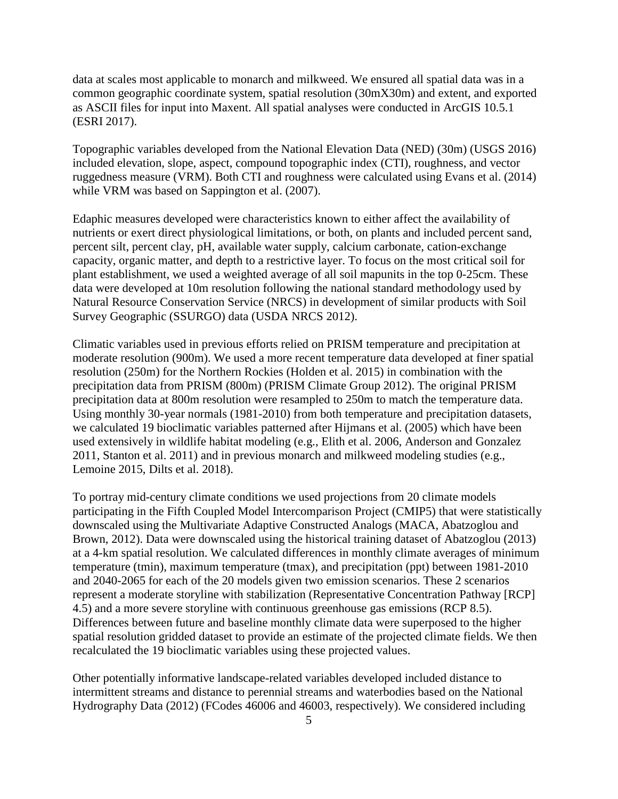data at scales most applicable to monarch and milkweed. We ensured all spatial data was in a common geographic coordinate system, spatial resolution (30mX30m) and extent, and exported as ASCII files for input into Maxent. All spatial analyses were conducted in ArcGIS 10.5.1 (ESRI 2017).

Topographic variables developed from the National Elevation Data (NED) (30m) (USGS 2016) included elevation, slope, aspect, compound topographic index (CTI), roughness, and vector ruggedness measure (VRM). Both CTI and roughness were calculated using Evans et al. (2014) while VRM was based on Sappington et al. (2007).

Edaphic measures developed were characteristics known to either affect the availability of nutrients or exert direct physiological limitations, or both, on plants and included percent sand, percent silt, percent clay, pH, available water supply, calcium carbonate, cation-exchange capacity, organic matter, and depth to a restrictive layer. To focus on the most critical soil for plant establishment, we used a weighted average of all soil mapunits in the top 0-25cm. These data were developed at 10m resolution following the national standard methodology used by Natural Resource Conservation Service (NRCS) in development of similar products with Soil Survey Geographic (SSURGO) data (USDA NRCS 2012).

Climatic variables used in previous efforts relied on PRISM temperature and precipitation at moderate resolution (900m). We used a more recent temperature data developed at finer spatial resolution (250m) for the Northern Rockies (Holden et al. 2015) in combination with the precipitation data from PRISM (800m) (PRISM Climate Group 2012). The original PRISM precipitation data at 800m resolution were resampled to 250m to match the temperature data. Using monthly 30-year normals (1981-2010) from both temperature and precipitation datasets, we calculated 19 bioclimatic variables patterned after Hijmans et al. (2005) which have been used extensively in wildlife habitat modeling (e.g., Elith et al. 2006, Anderson and Gonzalez 2011, Stanton et al. 2011) and in previous monarch and milkweed modeling studies (e.g., Lemoine 2015, Dilts et al. 2018).

To portray mid-century climate conditions we used projections from 20 climate models participating in the Fifth Coupled Model Intercomparison Project (CMIP5) that were statistically downscaled using the Multivariate Adaptive Constructed Analogs (MACA, Abatzoglou and Brown, 2012). Data were downscaled using the historical training dataset of Abatzoglou (2013) at a 4-km spatial resolution. We calculated differences in monthly climate averages of minimum temperature (tmin), maximum temperature (tmax), and precipitation (ppt) between 1981-2010 and 2040-2065 for each of the 20 models given two emission scenarios. These 2 scenarios represent a moderate storyline with stabilization (Representative Concentration Pathway [RCP] 4.5) and a more severe storyline with continuous greenhouse gas emissions (RCP 8.5). Differences between future and baseline monthly climate data were superposed to the higher spatial resolution gridded dataset to provide an estimate of the projected climate fields. We then recalculated the 19 bioclimatic variables using these projected values.

Other potentially informative landscape-related variables developed included distance to intermittent streams and distance to perennial streams and waterbodies based on the National Hydrography Data (2012) (FCodes 46006 and 46003, respectively). We considered including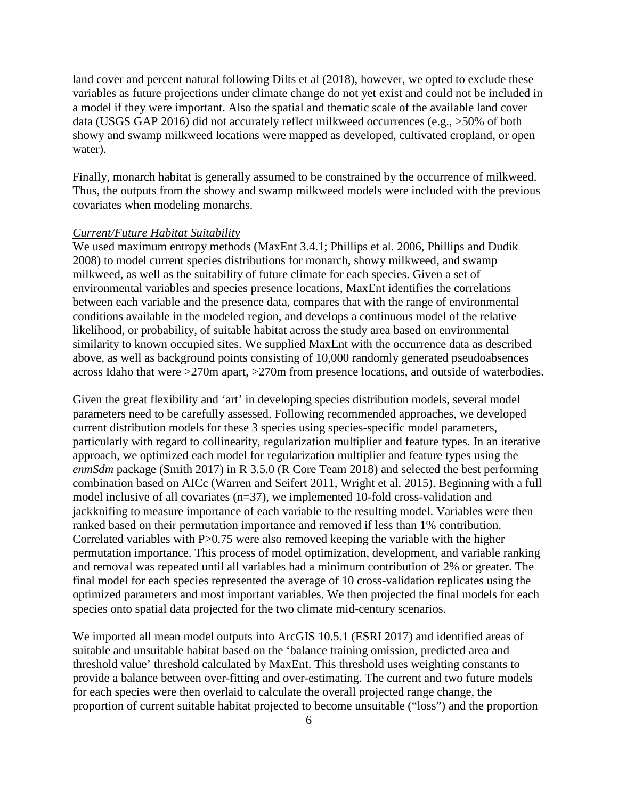land cover and percent natural following Dilts et al (2018), however, we opted to exclude these variables as future projections under climate change do not yet exist and could not be included in a model if they were important. Also the spatial and thematic scale of the available land cover data (USGS GAP 2016) did not accurately reflect milkweed occurrences (e.g., >50% of both showy and swamp milkweed locations were mapped as developed, cultivated cropland, or open water).

Finally, monarch habitat is generally assumed to be constrained by the occurrence of milkweed. Thus, the outputs from the showy and swamp milkweed models were included with the previous covariates when modeling monarchs.

#### *Current/Future Habitat Suitability*

We used maximum entropy methods (MaxEnt 3.4.1; Phillips et al. 2006, Phillips and Dudík 2008) to model current species distributions for monarch, showy milkweed, and swamp milkweed, as well as the suitability of future climate for each species. Given a set of environmental variables and species presence locations, MaxEnt identifies the correlations between each variable and the presence data, compares that with the range of environmental conditions available in the modeled region, and develops a continuous model of the relative likelihood, or probability, of suitable habitat across the study area based on environmental similarity to known occupied sites. We supplied MaxEnt with the occurrence data as described above, as well as background points consisting of 10,000 randomly generated pseudoabsences across Idaho that were >270m apart, >270m from presence locations, and outside of waterbodies.

Given the great flexibility and 'art' in developing species distribution models, several model parameters need to be carefully assessed. Following recommended approaches, we developed current distribution models for these 3 species using species-specific model parameters, particularly with regard to collinearity, regularization multiplier and feature types. In an iterative approach, we optimized each model for regularization multiplier and feature types using the *enmSdm* package (Smith 2017) in R 3.5.0 (R Core Team 2018) and selected the best performing combination based on AICc (Warren and Seifert [2011,](https://www.ncbi.nlm.nih.gov/pmc/articles/PMC5930794/#B55) Wright et al. [2015\)](https://www.ncbi.nlm.nih.gov/pmc/articles/PMC5930794/#B57). Beginning with a full model inclusive of all covariates (n=37), we implemented 10-fold cross-validation and jackknifing to measure importance of each variable to the resulting model. Variables were then ranked based on their permutation importance and removed if less than 1% contribution. Correlated variables with P>0.75 were also removed keeping the variable with the higher permutation importance. This process of model optimization, development, and variable ranking and removal was repeated until all variables had a minimum contribution of 2% or greater. The final model for each species represented the average of 10 cross-validation replicates using the optimized parameters and most important variables. We then projected the final models for each species onto spatial data projected for the two climate mid-century scenarios.

We imported all mean model outputs into ArcGIS 10.5.1 (ESRI 2017) and identified areas of suitable and unsuitable habitat based on the 'balance training omission, predicted area and threshold value' threshold calculated by MaxEnt. This threshold uses weighting constants to provide a balance between over-fitting and over-estimating. The current and two future models for each species were then overlaid to calculate the overall projected range change, the proportion of current suitable habitat projected to become unsuitable ("loss") and the proportion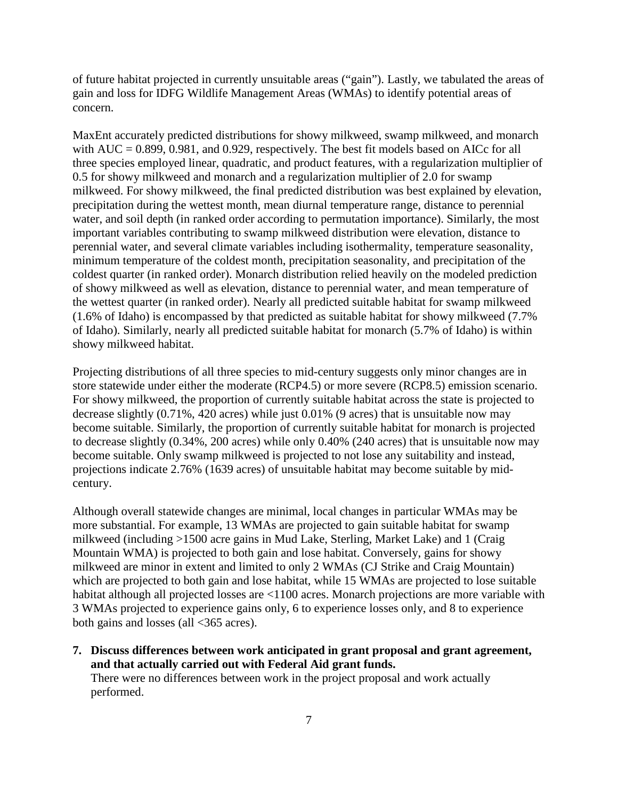of future habitat projected in currently unsuitable areas ("gain"). Lastly, we tabulated the areas of gain and loss for IDFG Wildlife Management Areas (WMAs) to identify potential areas of concern.

MaxEnt accurately predicted distributions for showy milkweed, swamp milkweed, and monarch with  $AUC = 0.899, 0.981$ , and 0.929, respectively. The best fit models based on AICc for all three species employed linear, quadratic, and product features, with a regularization multiplier of 0.5 for showy milkweed and monarch and a regularization multiplier of 2.0 for swamp milkweed. For showy milkweed, the final predicted distribution was best explained by elevation, precipitation during the wettest month, mean diurnal temperature range, distance to perennial water, and soil depth (in ranked order according to permutation importance). Similarly, the most important variables contributing to swamp milkweed distribution were elevation, distance to perennial water, and several climate variables including isothermality, temperature seasonality, minimum temperature of the coldest month, precipitation seasonality, and precipitation of the coldest quarter (in ranked order). Monarch distribution relied heavily on the modeled prediction of showy milkweed as well as elevation, distance to perennial water, and mean temperature of the wettest quarter (in ranked order). Nearly all predicted suitable habitat for swamp milkweed (1.6% of Idaho) is encompassed by that predicted as suitable habitat for showy milkweed (7.7% of Idaho). Similarly, nearly all predicted suitable habitat for monarch (5.7% of Idaho) is within showy milkweed habitat.

Projecting distributions of all three species to mid-century suggests only minor changes are in store statewide under either the moderate (RCP4.5) or more severe (RCP8.5) emission scenario. For showy milkweed, the proportion of currently suitable habitat across the state is projected to decrease slightly (0.71%, 420 acres) while just 0.01% (9 acres) that is unsuitable now may become suitable. Similarly, the proportion of currently suitable habitat for monarch is projected to decrease slightly (0.34%, 200 acres) while only 0.40% (240 acres) that is unsuitable now may become suitable. Only swamp milkweed is projected to not lose any suitability and instead, projections indicate 2.76% (1639 acres) of unsuitable habitat may become suitable by midcentury.

Although overall statewide changes are minimal, local changes in particular WMAs may be more substantial. For example, 13 WMAs are projected to gain suitable habitat for swamp milkweed (including >1500 acre gains in Mud Lake, Sterling, Market Lake) and 1 (Craig Mountain WMA) is projected to both gain and lose habitat. Conversely, gains for showy milkweed are minor in extent and limited to only 2 WMAs (CJ Strike and Craig Mountain) which are projected to both gain and lose habitat, while 15 WMAs are projected to lose suitable habitat although all projected losses are <1100 acres. Monarch projections are more variable with 3 WMAs projected to experience gains only, 6 to experience losses only, and 8 to experience both gains and losses (all <365 acres).

**7. Discuss differences between work anticipated in grant proposal and grant agreement, and that actually carried out with Federal Aid grant funds.** There were no differences between work in the project proposal and work actually performed.